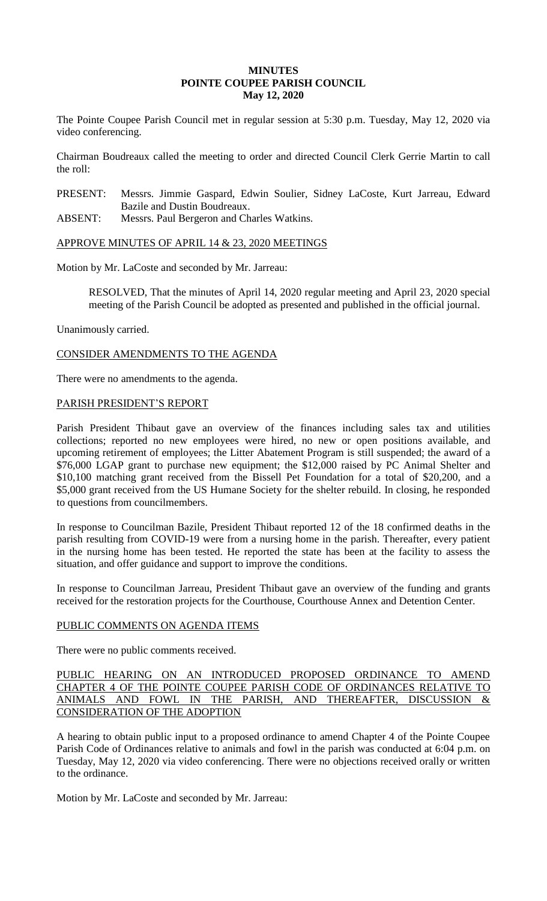# **MINUTES POINTE COUPEE PARISH COUNCIL May 12, 2020**

The Pointe Coupee Parish Council met in regular session at 5:30 p.m. Tuesday, May 12, 2020 via video conferencing.

Chairman Boudreaux called the meeting to order and directed Council Clerk Gerrie Martin to call the roll:

PRESENT: Messrs. Jimmie Gaspard, Edwin Soulier, Sidney LaCoste, Kurt Jarreau, Edward Bazile and Dustin Boudreaux.

ABSENT: Messrs. Paul Bergeron and Charles Watkins.

APPROVE MINUTES OF APRIL 14 & 23, 2020 MEETINGS

Motion by Mr. LaCoste and seconded by Mr. Jarreau:

RESOLVED, That the minutes of April 14, 2020 regular meeting and April 23, 2020 special meeting of the Parish Council be adopted as presented and published in the official journal.

Unanimously carried.

CONSIDER AMENDMENTS TO THE AGENDA

There were no amendments to the agenda.

## PARISH PRESIDENT'S REPORT

Parish President Thibaut gave an overview of the finances including sales tax and utilities collections; reported no new employees were hired, no new or open positions available, and upcoming retirement of employees; the Litter Abatement Program is still suspended; the award of a \$76,000 LGAP grant to purchase new equipment; the \$12,000 raised by PC Animal Shelter and \$10,100 matching grant received from the Bissell Pet Foundation for a total of \$20,200, and a \$5,000 grant received from the US Humane Society for the shelter rebuild. In closing, he responded to questions from councilmembers.

In response to Councilman Bazile, President Thibaut reported 12 of the 18 confirmed deaths in the parish resulting from COVID-19 were from a nursing home in the parish. Thereafter, every patient in the nursing home has been tested. He reported the state has been at the facility to assess the situation, and offer guidance and support to improve the conditions.

In response to Councilman Jarreau, President Thibaut gave an overview of the funding and grants received for the restoration projects for the Courthouse, Courthouse Annex and Detention Center.

#### PUBLIC COMMENTS ON AGENDA ITEMS

There were no public comments received.

PUBLIC HEARING ON AN INTRODUCED PROPOSED ORDINANCE TO AMEND CHAPTER 4 OF THE POINTE COUPEE PARISH CODE OF ORDINANCES RELATIVE TO ANIMALS AND FOWL IN THE PARISH, AND THEREAFTER, DISCUSSION & CONSIDERATION OF THE ADOPTION

A hearing to obtain public input to a proposed ordinance to amend Chapter 4 of the Pointe Coupee Parish Code of Ordinances relative to animals and fowl in the parish was conducted at 6:04 p.m. on Tuesday, May 12, 2020 via video conferencing. There were no objections received orally or written to the ordinance.

Motion by Mr. LaCoste and seconded by Mr. Jarreau: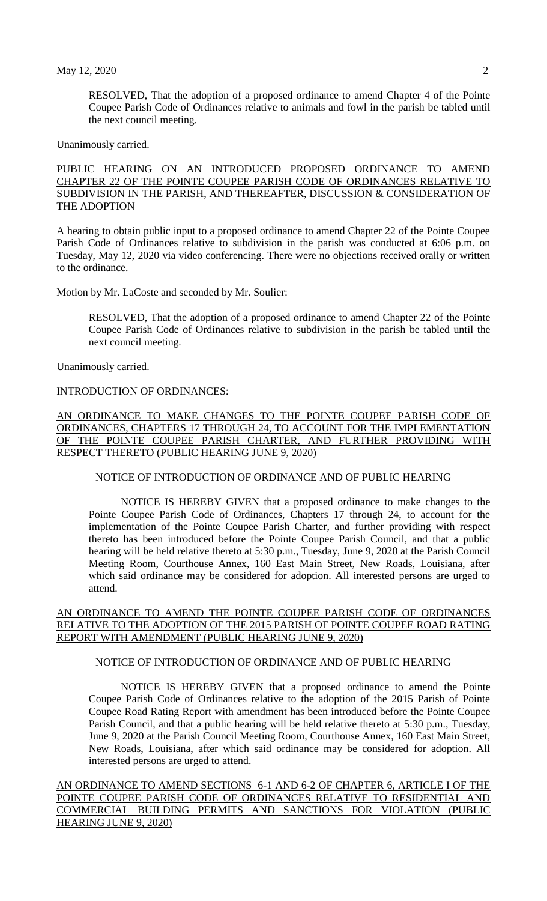RESOLVED, That the adoption of a proposed ordinance to amend Chapter 4 of the Pointe Coupee Parish Code of Ordinances relative to animals and fowl in the parish be tabled until the next council meeting.

Unanimously carried.

PUBLIC HEARING ON AN INTRODUCED PROPOSED ORDINANCE TO AMEND CHAPTER 22 OF THE POINTE COUPEE PARISH CODE OF ORDINANCES RELATIVE TO SUBDIVISION IN THE PARISH, AND THEREAFTER, DISCUSSION & CONSIDERATION OF THE ADOPTION

A hearing to obtain public input to a proposed ordinance to amend Chapter 22 of the Pointe Coupee Parish Code of Ordinances relative to subdivision in the parish was conducted at 6:06 p.m. on Tuesday, May 12, 2020 via video conferencing. There were no objections received orally or written to the ordinance.

Motion by Mr. LaCoste and seconded by Mr. Soulier:

RESOLVED, That the adoption of a proposed ordinance to amend Chapter 22 of the Pointe Coupee Parish Code of Ordinances relative to subdivision in the parish be tabled until the next council meeting.

Unanimously carried.

# INTRODUCTION OF ORDINANCES:

AN ORDINANCE TO MAKE CHANGES TO THE POINTE COUPEE PARISH CODE OF ORDINANCES, CHAPTERS 17 THROUGH 24, TO ACCOUNT FOR THE IMPLEMENTATION OF THE POINTE COUPEE PARISH CHARTER, AND FURTHER PROVIDING WITH RESPECT THERETO (PUBLIC HEARING JUNE 9, 2020)

## NOTICE OF INTRODUCTION OF ORDINANCE AND OF PUBLIC HEARING

NOTICE IS HEREBY GIVEN that a proposed ordinance to make changes to the Pointe Coupee Parish Code of Ordinances, Chapters 17 through 24, to account for the implementation of the Pointe Coupee Parish Charter, and further providing with respect thereto has been introduced before the Pointe Coupee Parish Council, and that a public hearing will be held relative thereto at 5:30 p.m., Tuesday, June 9, 2020 at the Parish Council Meeting Room, Courthouse Annex, 160 East Main Street, New Roads, Louisiana, after which said ordinance may be considered for adoption. All interested persons are urged to attend.

### AN ORDINANCE TO AMEND THE POINTE COUPEE PARISH CODE OF ORDINANCES RELATIVE TO THE ADOPTION OF THE 2015 PARISH OF POINTE COUPEE ROAD RATING REPORT WITH AMENDMENT (PUBLIC HEARING JUNE 9, 2020)

# NOTICE OF INTRODUCTION OF ORDINANCE AND OF PUBLIC HEARING

NOTICE IS HEREBY GIVEN that a proposed ordinance to amend the Pointe Coupee Parish Code of Ordinances relative to the adoption of the 2015 Parish of Pointe Coupee Road Rating Report with amendment has been introduced before the Pointe Coupee Parish Council, and that a public hearing will be held relative thereto at 5:30 p.m., Tuesday, June 9, 2020 at the Parish Council Meeting Room, Courthouse Annex, 160 East Main Street, New Roads, Louisiana, after which said ordinance may be considered for adoption. All interested persons are urged to attend.

AN ORDINANCE TO AMEND SECTIONS 6-1 AND 6-2 OF CHAPTER 6, ARTICLE I OF THE POINTE COUPEE PARISH CODE OF ORDINANCES RELATIVE TO RESIDENTIAL AND COMMERCIAL BUILDING PERMITS AND SANCTIONS FOR VIOLATION (PUBLIC HEARING JUNE 9, 2020)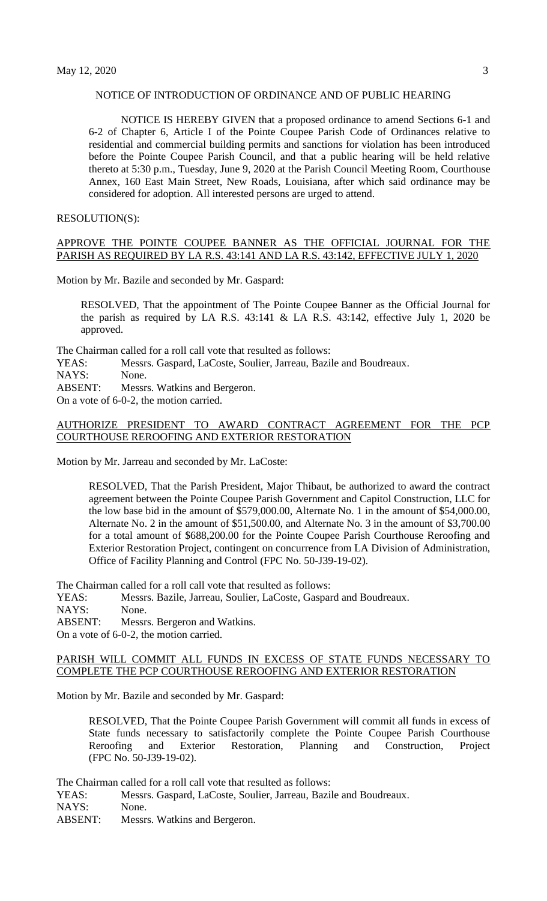### NOTICE OF INTRODUCTION OF ORDINANCE AND OF PUBLIC HEARING

NOTICE IS HEREBY GIVEN that a proposed ordinance to amend Sections 6-1 and 6-2 of Chapter 6, Article I of the Pointe Coupee Parish Code of Ordinances relative to residential and commercial building permits and sanctions for violation has been introduced before the Pointe Coupee Parish Council, and that a public hearing will be held relative thereto at 5:30 p.m., Tuesday, June 9, 2020 at the Parish Council Meeting Room, Courthouse Annex, 160 East Main Street, New Roads, Louisiana, after which said ordinance may be considered for adoption. All interested persons are urged to attend.

#### RESOLUTION(S):

## APPROVE THE POINTE COUPEE BANNER AS THE OFFICIAL JOURNAL FOR THE PARISH AS REQUIRED BY LA R.S. 43:141 AND LA R.S. 43:142, EFFECTIVE JULY 1, 2020

Motion by Mr. Bazile and seconded by Mr. Gaspard:

RESOLVED, That the appointment of The Pointe Coupee Banner as the Official Journal for the parish as required by LA R.S.  $43:141 \&$  LA R.S.  $43:142$ , effective July 1, 2020 be approved.

The Chairman called for a roll call vote that resulted as follows:

YEAS: Messrs. Gaspard, LaCoste, Soulier, Jarreau, Bazile and Boudreaux.

NAYS: None.

ABSENT: Messrs. Watkins and Bergeron.

On a vote of 6-0-2, the motion carried.

#### AUTHORIZE PRESIDENT TO AWARD CONTRACT AGREEMENT FOR THE PCP COURTHOUSE REROOFING AND EXTERIOR RESTORATION

Motion by Mr. Jarreau and seconded by Mr. LaCoste:

RESOLVED, That the Parish President, Major Thibaut, be authorized to award the contract agreement between the Pointe Coupee Parish Government and Capitol Construction, LLC for the low base bid in the amount of \$579,000.00, Alternate No. 1 in the amount of \$54,000.00, Alternate No. 2 in the amount of \$51,500.00, and Alternate No. 3 in the amount of \$3,700.00 for a total amount of \$688,200.00 for the Pointe Coupee Parish Courthouse Reroofing and Exterior Restoration Project, contingent on concurrence from LA Division of Administration, Office of Facility Planning and Control (FPC No. 50-J39-19-02).

The Chairman called for a roll call vote that resulted as follows:

YEAS: Messrs. Bazile, Jarreau, Soulier, LaCoste, Gaspard and Boudreaux.

NAYS: None.

ABSENT: Messrs. Bergeron and Watkins.

On a vote of 6-0-2, the motion carried.

#### PARISH WILL COMMIT ALL FUNDS IN EXCESS OF STATE FUNDS NECESSARY TO COMPLETE THE PCP COURTHOUSE REROOFING AND EXTERIOR RESTORATION

Motion by Mr. Bazile and seconded by Mr. Gaspard:

RESOLVED, That the Pointe Coupee Parish Government will commit all funds in excess of State funds necessary to satisfactorily complete the Pointe Coupee Parish Courthouse Reroofing and Exterior Restoration, Planning and Construction, Project (FPC No. 50-J39-19-02).

The Chairman called for a roll call vote that resulted as follows:

YEAS: Messrs. Gaspard, LaCoste, Soulier, Jarreau, Bazile and Boudreaux.

NAYS: None.

ABSENT: Messrs. Watkins and Bergeron.